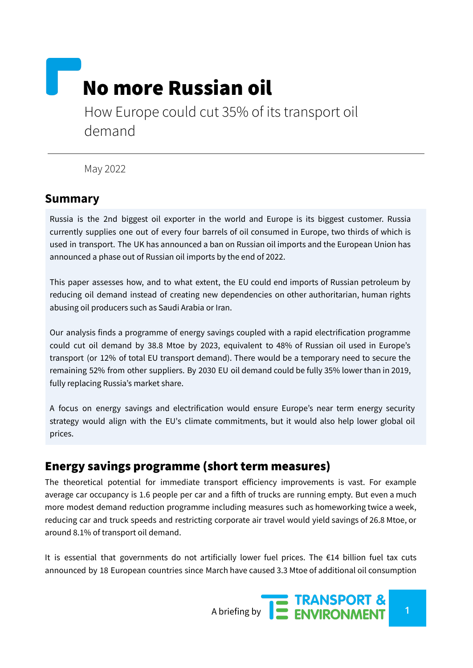# No more Russian oil

How Europe could cut 35% of its transport oil demand

May 2022

#### **Summary**

Russia is the 2nd biggest oil exporter in the world and Europe is its biggest customer. Russia currently supplies one out of every four barrels of oil consumed in Europe, two thirds of which is used in transport. The UK has announced a ban on Russian oil imports and the European Union has announced a phase out of Russian oil imports by the end of 2022.

This paper assesses how, and to what extent, the EU could end imports of Russian petroleum by reducing oil demand instead of creating new dependencies on other authoritarian, human rights abusing oil producers such as Saudi Arabia or Iran.

Our analysis finds a programme of energy savings coupled with a rapid electrification programme could cut oil demand by 38.8 Mtoe by 2023, equivalent to 48% of Russian oil used in Europe's transport (or 12% of total EU transport demand). There would be a temporary need to secure the remaining 52% from other suppliers. By 2030 EU oil demand could be fully 35% lower than in 2019, fully replacing Russia's market share.

A focus on energy savings and electrification would ensure Europe's near term energy security strategy would align with the EU's climate commitments, but it would also help lower global oil prices.

#### Energy savings programme (short term measures)

The theoretical potential for immediate transport efficiency improvements is vast. For example average car occupancy is 1.6 people per car and a fifth of trucks are running empty. But even a much more modest demand reduction programme including measures such as homeworking twice a week, reducing car and truck speeds and restricting corporate air travel would yield savings of 26.8 Mtoe, or around 8.1% of transport oil demand.

It is essential that governments do not artificially lower fuel prices. The  $\epsilon$ 14 billion fuel tax cuts announced by 18 European countries since March have caused 3.3 Mtoe of additional oil consumption

A briefing by **1 1 ENVIRONMENT 1**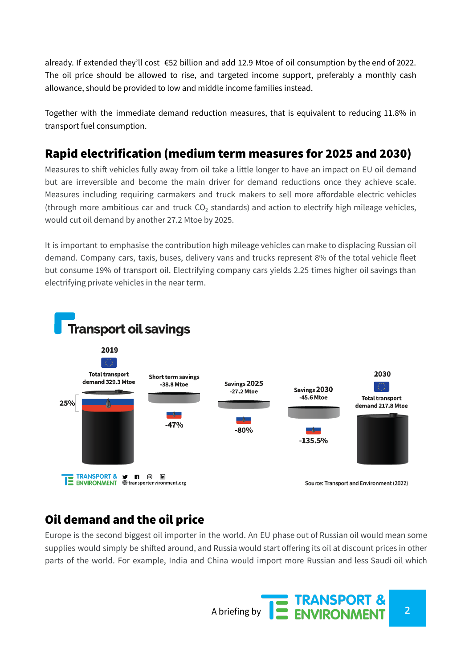already. If extended they'll cost €52 billion and add 12.9 Mtoe of oil consumption by the end of 2022. The oil price should be allowed to rise, and targeted income support, preferably a monthly cash allowance, should be provided to low and middle income families instead.

Together with the immediate demand reduction measures, that is equivalent to reducing 11.8% in transport fuel consumption.

## Rapid electrification (medium term measures for 2025 and 2030)

Measures to shift vehicles fully away from oil take a little longer to have an impact on EU oil demand but are irreversible and become the main driver for demand reductions once they achieve scale. Measures including requiring carmakers and truck makers to sell more affordable electric vehicles (through more ambitious car and truck  $CO<sub>2</sub>$  standards) and action to electrify high mileage vehicles, would cut oil demand by another 27.2 Mtoe by 2025.

It is important to emphasise the contribution high mileage vehicles can make to displacing Russian oil demand. Company cars, taxis, buses, delivery vans and trucks represent 8% of the total vehicle fleet but consume 19% of transport oil. Electrifying company cars yields 2.25 times higher oil savings than electrifying private vehicles in the near term.



#### Oil demand and the oil price

Europe is the second biggest oil importer in the world. An EU phase out of Russian oil would mean some supplies would simply be shifted around, and Russia would start offering its oil at discount prices in other parts of the world. For example, India and China would import more Russian and less Saudi oil which

A briefing by **2 2 ENVIRONMENT**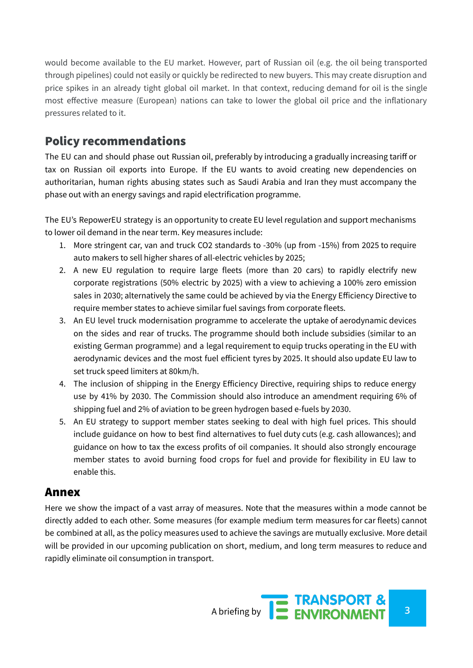would become available to the EU market. However, part of Russian oil (e.g. the oil being transported through pipelines) could not easily or quickly be redirected to new buyers. This may create disruption and price spikes in an already tight global oil market. In that context, reducing demand for oil is the single most effective measure (European) nations can take to lower the global oil price and the inflationary pressures related to it.

## Policy recommendations

The EU can and should phase out Russian oil, preferably by introducing a gradually increasing tariff or tax on Russian oil exports into Europe. If the EU wants to avoid creating new dependencies on authoritarian, human rights abusing states such as Saudi Arabia and Iran they must accompany the phase out with an energy savings and rapid electrification programme.

The EU's RepowerEU strategy is an opportunity to create EU level regulation and support mechanisms to lower oil demand in the near term. Key measures include:

- 1. More stringent car, van and truck CO2 standards to -30% (up from -15%) from 2025 to require auto makers to sell higher shares of all-electric vehicles by 2025;
- 2. A new EU regulation to require large fleets (more than 20 cars) to rapidly electrify new corporate registrations (50% electric by 2025) with a view to achieving a 100% zero emission sales in 2030; alternatively the same could be achieved by via the Energy Efficiency Directive to require member states to achieve similar fuel savings from corporate fleets.
- 3. An EU level truck modernisation programme to accelerate the uptake of aerodynamic devices on the sides and rear of trucks. The programme should both include subsidies (similar to an existing German programme) and a legal requirement to equip trucks operating in the EU with aerodynamic devices and the most fuel efficient tyres by 2025. It should also update EU law to set truck speed limiters at 80km/h.
- 4. The inclusion of shipping in the Energy Efficiency Directive, requiring ships to reduce energy use by 41% by 2030. The Commission should also introduce an amendment requiring 6% of shipping fuel and 2% of aviation to be green hydrogen based e-fuels by 2030.
- 5. An EU strategy to support member states seeking to deal with high fuel prices. This should include guidance on how to best find alternatives to fuel duty cuts (e.g. cash allowances); and guidance on how to tax the excess profits of oil companies. It should also strongly encourage member states to avoid burning food crops for fuel and provide for flexibility in EU law to enable this.

#### Annex

Here we show the impact of a vast array of measures. Note that the measures within a mode cannot be directly added to each other. Some measures (for example medium term measures for car fleets) cannot be combined at all, as the policy measures used to achieve the savings are mutually exclusive. More detail will be provided in our upcoming publication on short, medium, and long term measures to reduce and rapidly eliminate oil consumption in transport.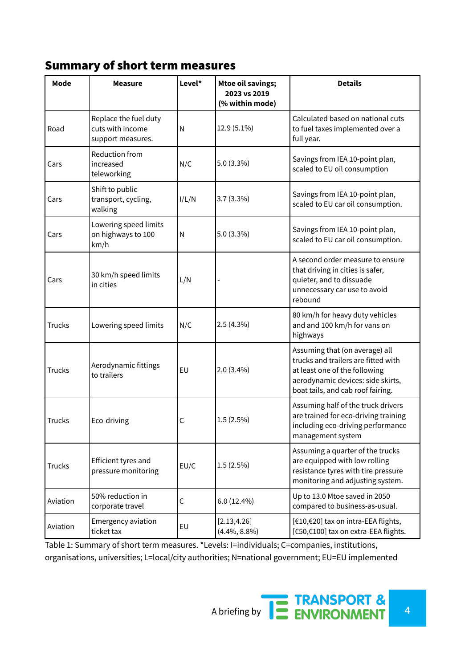#### Summary of short term measures

| Mode          | <b>Measure</b>                                                 | Level* | <b>Mtoe oil savings;</b><br>2023 vs 2019<br>(% within mode) | <b>Details</b>                                                                                                                                                                   |  |
|---------------|----------------------------------------------------------------|--------|-------------------------------------------------------------|----------------------------------------------------------------------------------------------------------------------------------------------------------------------------------|--|
| Road          | Replace the fuel duty<br>cuts with income<br>support measures. | N      | 12.9 (5.1%)                                                 | Calculated based on national cuts<br>to fuel taxes implemented over a<br>full year.                                                                                              |  |
| Cars          | Reduction from<br>increased<br>teleworking                     | N/C    | 5.0 (3.3%)                                                  | Savings from IEA 10-point plan,<br>scaled to EU oil consumption                                                                                                                  |  |
| Cars          | Shift to public<br>transport, cycling,<br>walking              | I/L/N  | $3.7(3.3\%)$                                                | Savings from IEA 10-point plan,<br>scaled to EU car oil consumption.                                                                                                             |  |
| Cars          | Lowering speed limits<br>on highways to 100<br>km/h            | N      | $5.0(3.3\%)$                                                | Savings from IEA 10-point plan,<br>scaled to EU car oil consumption.                                                                                                             |  |
| Cars          | 30 km/h speed limits<br>in cities                              | L/N    |                                                             | A second order measure to ensure<br>that driving in cities is safer,<br>quieter, and to dissuade<br>unnecessary car use to avoid<br>rebound                                      |  |
| <b>Trucks</b> | Lowering speed limits                                          | N/C    | 2.5(4.3%)                                                   | 80 km/h for heavy duty vehicles<br>and and 100 km/h for vans on<br>highways                                                                                                      |  |
| <b>Trucks</b> | Aerodynamic fittings<br>to trailers                            | EU     | $2.0(3.4\%)$                                                | Assuming that (on average) all<br>trucks and trailers are fitted with<br>at least one of the following<br>aerodynamic devices: side skirts,<br>boat tails, and cab roof fairing. |  |
| <b>Trucks</b> | Eco-driving                                                    | С      | 1.5(2.5%)                                                   | Assuming half of the truck drivers<br>are trained for eco-driving training<br>including eco-driving performance<br>management system                                             |  |
| <b>Trucks</b> | Efficient tyres and<br>pressure monitoring                     | EU/C   | $1.5(2.5\%)$                                                | Assuming a quarter of the trucks<br>are equipped with low rolling<br>resistance tyres with tire pressure<br>monitoring and adjusting system.                                     |  |
| Aviation      | 50% reduction in<br>corporate travel                           | С      | 6.0(12.4%)                                                  | Up to 13.0 Mtoe saved in 2050<br>compared to business-as-usual.                                                                                                                  |  |
| Aviation      | Emergency aviation<br>ticket tax                               | EU     | [2.13, 4.26]<br>$(4.4\%, 8.8\%)$                            | [€10,€20] tax on intra-EEA flights,<br>[€50,€100] tax on extra-EEA flights.                                                                                                      |  |

Table 1: Summary of short term measures. \*Levels: I=individuals; [C=companies,](https://docs.google.com/document/d/1cXP638gLUPUmsoxUZkH0shxD7uQt5m-ynzGbGhJ0Ucc/edit#D2L_table_label_Summary%20of%20short%20term%20measures.%20*Levels:%20I=individuals;%20C=companies,%20institutions,%20organisations,%20universities;%20L=local/city%20authorities;%20N=national%20government;%20EU=EU%20implemented) institutions, [organisations,](https://docs.google.com/document/d/1cXP638gLUPUmsoxUZkH0shxD7uQt5m-ynzGbGhJ0Ucc/edit#D2L_table_label_Summary%20of%20short%20term%20measures.%20*Levels:%20I=individuals;%20C=companies,%20institutions,%20organisations,%20universities;%20L=local/city%20authorities;%20N=national%20government;%20EU=EU%20implemented) universities; L=local/city authorities; N=national government; EU=EU implemented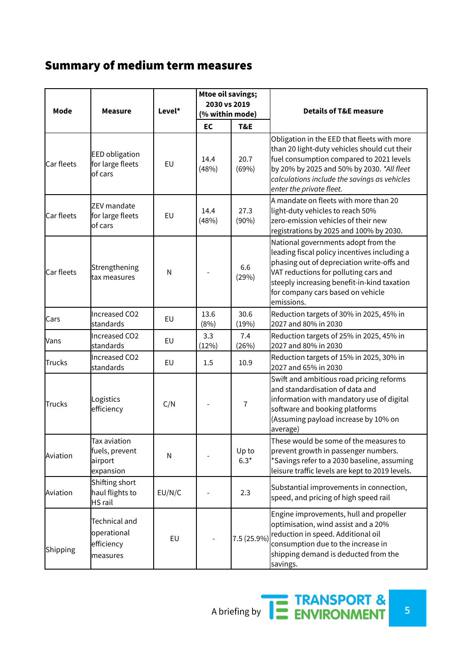# Summary of medium term measures

| Mode       | <b>Measure</b>                                                | Level* | <b>Mtoe oil savings;</b><br>2030 vs 2019<br>(% within mode) |                 | <b>Details of T&amp;E measure</b>                                                                                                                                                                                                                                            |
|------------|---------------------------------------------------------------|--------|-------------------------------------------------------------|-----------------|------------------------------------------------------------------------------------------------------------------------------------------------------------------------------------------------------------------------------------------------------------------------------|
|            |                                                               |        | EC                                                          | T&E             |                                                                                                                                                                                                                                                                              |
| Car fleets | <b>EED</b> obligation<br>for large fleets<br>of cars          | EU     | 14.4<br>(48%)                                               | 20.7<br>(69%)   | Obligation in the EED that fleets with more<br>than 20 light-duty vehicles should cut their<br>fuel consumption compared to 2021 levels<br>by 20% by 2025 and 50% by 2030. *All fleet<br>calculations include the savings as vehicles<br>enter the private fleet.            |
| Car fleets | ZEV mandate<br>for large fleets<br>of cars                    | EU     | 14.4<br>(48%)                                               | 27.3<br>(90%)   | A mandate on fleets with more than 20<br>light-duty vehicles to reach 50%<br>zero-emission vehicles of their new<br>registrations by 2025 and 100% by 2030.                                                                                                                  |
| Car fleets | Strengthening<br>tax measures                                 | N      |                                                             | 6.6<br>(29%)    | National governments adopt from the<br>leading fiscal policy incentives including a<br>phasing out of depreciation write-offs and<br>VAT reductions for polluting cars and<br>steeply increasing benefit-in-kind taxation<br>for company cars based on vehicle<br>emissions. |
| Cars       | Increased CO2<br>standards                                    | EU     | 13.6<br>(8%)                                                | 30.6<br>(19%)   | Reduction targets of 30% in 2025, 45% in<br>2027 and 80% in 2030                                                                                                                                                                                                             |
| Vans       | Increased CO2<br>standards                                    | EU     | 3.3<br>(12%)                                                | 7.4<br>(26%)    | Reduction targets of 25% in 2025, 45% in<br>2027 and 80% in 2030                                                                                                                                                                                                             |
| Trucks     | Increased CO <sub>2</sub><br>standards                        | EU     | 1.5                                                         | 10.9            | Reduction targets of 15% in 2025, 30% in<br>2027 and 65% in 2030                                                                                                                                                                                                             |
| Trucks     | Logistics<br>efficiency                                       | C/N    |                                                             | $\overline{1}$  | Swift and ambitious road pricing reforms<br>and standardisation of data and<br>information with mandatory use of digital<br>software and booking platforms<br>(Assuming payload increase by 10% on<br>average)                                                               |
| Aviation   | Tax aviation<br>fuels, prevent<br>airport<br>expansion        | N      |                                                             | Up to<br>$6.3*$ | These would be some of the measures to<br>prevent growth in passenger numbers.<br>*Savings refer to a 2030 baseline, assuming<br>leisure traffic levels are kept to 2019 levels.                                                                                             |
| Aviation   | Shifting short<br>haul flights to<br><b>HS</b> rail           | EU/N/C |                                                             | 2.3             | Substantial improvements in connection,<br>speed, and pricing of high speed rail                                                                                                                                                                                             |
| Shipping   | <b>Technical and</b><br>operational<br>efficiency<br>measures | EU     |                                                             | 7.5 (25.9%)     | Engine improvements, hull and propeller<br>optimisation, wind assist and a 20%<br>reduction in speed. Additional oil<br>consumption due to the increase in<br>shipping demand is deducted from the<br>savings.                                                               |